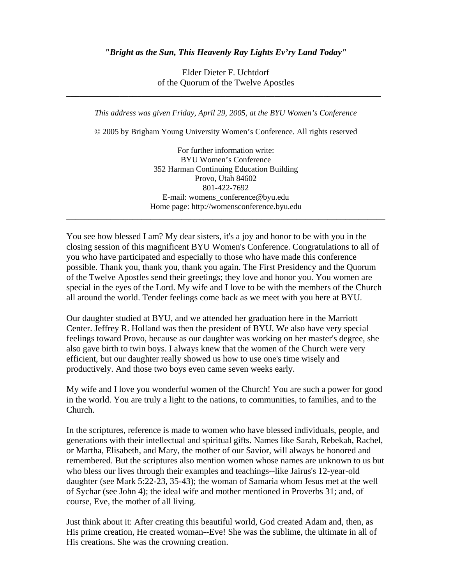## *"Bright as the Sun, This Heavenly Ray Lights Ev'ry Land Today"*

## Elder Dieter F. Uchtdorf of the Quorum of the Twelve Apostles

\_\_\_\_\_\_\_\_\_\_\_\_\_\_\_\_\_\_\_\_\_\_\_\_\_\_\_\_\_\_\_\_\_\_\_\_\_\_\_\_\_\_\_\_\_\_\_\_\_\_\_\_\_\_\_\_\_\_\_\_\_\_\_\_\_\_\_\_\_\_\_

*This address was given Friday, April 29, 2005, at the BYU Women's Conference* 

© 2005 by Brigham Young University Women's Conference. All rights reserved

For further information write: BYU Women's Conference 352 Harman Continuing Education Building Provo, Utah 84602 801-422-7692 E-mail: womens\_conference@byu.edu Home page: http://womensconference.byu.edu

\_\_\_\_\_\_\_\_\_\_\_\_\_\_\_\_\_\_\_\_\_\_\_\_\_\_\_\_\_\_\_\_\_\_\_\_\_\_\_\_\_\_\_\_\_\_\_\_\_\_\_\_\_\_\_\_\_\_\_\_\_\_\_\_\_\_\_\_\_\_\_\_

You see how blessed I am? My dear sisters, it's a joy and honor to be with you in the closing session of this magnificent BYU Women's Conference. Congratulations to all of you who have participated and especially to those who have made this conference possible. Thank you, thank you, thank you again. The First Presidency and the Quorum of the Twelve Apostles send their greetings; they love and honor you. You women are special in the eyes of the Lord. My wife and I love to be with the members of the Church all around the world. Tender feelings come back as we meet with you here at BYU.

Our daughter studied at BYU, and we attended her graduation here in the Marriott Center. Jeffrey R. Holland was then the president of BYU. We also have very special feelings toward Provo, because as our daughter was working on her master's degree, she also gave birth to twin boys. I always knew that the women of the Church were very efficient, but our daughter really showed us how to use one's time wisely and productively. And those two boys even came seven weeks early.

My wife and I love you wonderful women of the Church! You are such a power for good in the world. You are truly a light to the nations, to communities, to families, and to the Church.

In the scriptures, reference is made to women who have blessed individuals, people, and generations with their intellectual and spiritual gifts. Names like Sarah, Rebekah, Rachel, or Martha, Elisabeth, and Mary, the mother of our Savior, will always be honored and remembered. But the scriptures also mention women whose names are unknown to us but who bless our lives through their examples and teachings--like Jairus's 12-year-old daughter (see Mark 5:22-23, 35-43); the woman of Samaria whom Jesus met at the well of Sychar (see John 4); the ideal wife and mother mentioned in Proverbs 31; and, of course, Eve, the mother of all living.

Just think about it: After creating this beautiful world, God created Adam and, then, as His prime creation, He created woman--Eve! She was the sublime, the ultimate in all of His creations. She was the crowning creation.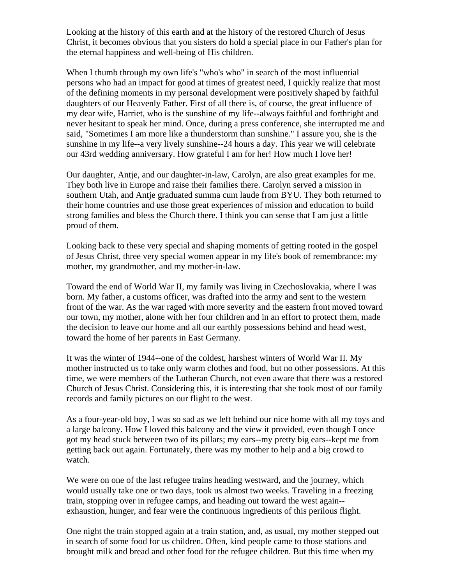Looking at the history of this earth and at the history of the restored Church of Jesus Christ, it becomes obvious that you sisters do hold a special place in our Father's plan for the eternal happiness and well-being of His children.

When I thumb through my own life's "who's who" in search of the most influential persons who had an impact for good at times of greatest need, I quickly realize that most of the defining moments in my personal development were positively shaped by faithful daughters of our Heavenly Father. First of all there is, of course, the great influence of my dear wife, Harriet, who is the sunshine of my life--always faithful and forthright and never hesitant to speak her mind. Once, during a press conference, she interrupted me and said, "Sometimes I am more like a thunderstorm than sunshine." I assure you, she is the sunshine in my life--a very lively sunshine--24 hours a day. This year we will celebrate our 43rd wedding anniversary. How grateful I am for her! How much I love her!

Our daughter, Antje, and our daughter-in-law, Carolyn, are also great examples for me. They both live in Europe and raise their families there. Carolyn served a mission in southern Utah, and Antje graduated summa cum laude from BYU. They both returned to their home countries and use those great experiences of mission and education to build strong families and bless the Church there. I think you can sense that I am just a little proud of them.

Looking back to these very special and shaping moments of getting rooted in the gospel of Jesus Christ, three very special women appear in my life's book of remembrance: my mother, my grandmother, and my mother-in-law.

Toward the end of World War II, my family was living in Czechoslovakia, where I was born. My father, a customs officer, was drafted into the army and sent to the western front of the war. As the war raged with more severity and the eastern front moved toward our town, my mother, alone with her four children and in an effort to protect them, made the decision to leave our home and all our earthly possessions behind and head west, toward the home of her parents in East Germany.

It was the winter of 1944--one of the coldest, harshest winters of World War II. My mother instructed us to take only warm clothes and food, but no other possessions. At this time, we were members of the Lutheran Church, not even aware that there was a restored Church of Jesus Christ. Considering this, it is interesting that she took most of our family records and family pictures on our flight to the west.

As a four-year-old boy, I was so sad as we left behind our nice home with all my toys and a large balcony. How I loved this balcony and the view it provided, even though I once got my head stuck between two of its pillars; my ears--my pretty big ears--kept me from getting back out again. Fortunately, there was my mother to help and a big crowd to watch.

We were on one of the last refugee trains heading westward, and the journey, which would usually take one or two days, took us almost two weeks. Traveling in a freezing train, stopping over in refugee camps, and heading out toward the west again- exhaustion, hunger, and fear were the continuous ingredients of this perilous flight.

One night the train stopped again at a train station, and, as usual, my mother stepped out in search of some food for us children. Often, kind people came to those stations and brought milk and bread and other food for the refugee children. But this time when my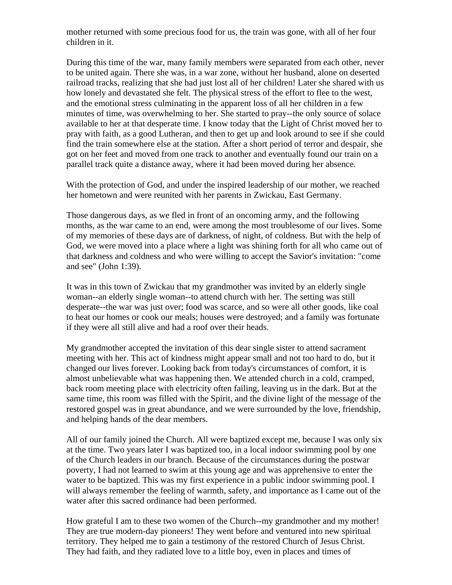mother returned with some precious food for us, the train was gone, with all of her four children in it.

During this time of the war, many family members were separated from each other, never to be united again. There she was, in a war zone, without her husband, alone on deserted railroad tracks, realizing that she had just lost all of her children! Later she shared with us how lonely and devastated she felt. The physical stress of the effort to flee to the west, and the emotional stress culminating in the apparent loss of all her children in a few minutes of time, was overwhelming to her. She started to pray--the only source of solace available to her at that desperate time. I know today that the Light of Christ moved her to pray with faith, as a good Lutheran, and then to get up and look around to see if she could find the train somewhere else at the station. After a short period of terror and despair, she got on her feet and moved from one track to another and eventually found our train on a parallel track quite a distance away, where it had been moved during her absence.

With the protection of God, and under the inspired leadership of our mother, we reached her hometown and were reunited with her parents in Zwickau, East Germany.

Those dangerous days, as we fled in front of an oncoming army, and the following months, as the war came to an end, were among the most troublesome of our lives. Some of my memories of these days are of darkness, of night, of coldness. But with the help of God, we were moved into a place where a light was shining forth for all who came out of that darkness and coldness and who were willing to accept the Savior's invitation: "come and see" (John 1:39).

It was in this town of Zwickau that my grandmother was invited by an elderly single woman--an elderly single woman--to attend church with her. The setting was still desperate--the war was just over; food was scarce, and so were all other goods, like coal to heat our homes or cook our meals; houses were destroyed; and a family was fortunate if they were all still alive and had a roof over their heads.

My grandmother accepted the invitation of this dear single sister to attend sacrament meeting with her. This act of kindness might appear small and not too hard to do, but it changed our lives forever. Looking back from today's circumstances of comfort, it is almost unbelievable what was happening then. We attended church in a cold, cramped, back room meeting place with electricity often failing, leaving us in the dark. But at the same time, this room was filled with the Spirit, and the divine light of the message of the restored gospel was in great abundance, and we were surrounded by the love, friendship, and helping hands of the dear members.

All of our family joined the Church. All were baptized except me, because I was only six at the time. Two years later I was baptized too, in a local indoor swimming pool by one of the Church leaders in our branch. Because of the circumstances during the postwar poverty, I had not learned to swim at this young age and was apprehensive to enter the water to be baptized. This was my first experience in a public indoor swimming pool. I will always remember the feeling of warmth, safety, and importance as I came out of the water after this sacred ordinance had been performed.

How grateful I am to these two women of the Church--my grandmother and my mother! They are true modern-day pioneers! They went before and ventured into new spiritual territory. They helped me to gain a testimony of the restored Church of Jesus Christ. They had faith, and they radiated love to a little boy, even in places and times of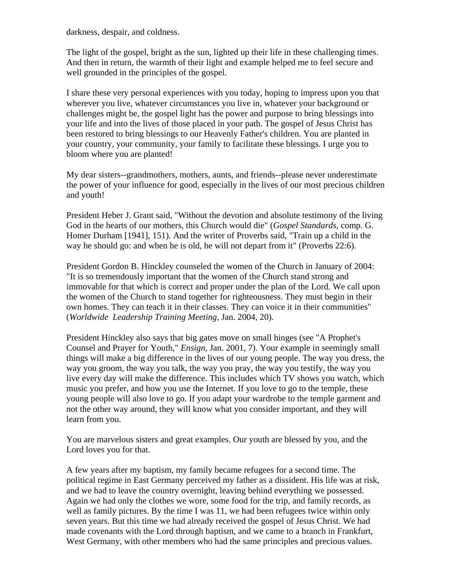darkness, despair, and coldness.

The light of the gospel, bright as the sun, lighted up their life in these challenging times. And then in return, the warmth of their light and example helped me to feel secure and well grounded in the principles of the gospel.

I share these very personal experiences with you today, hoping to impress upon you that wherever you live, whatever circumstances you live in, whatever your background or challenges might be, the gospel light has the power and purpose to bring blessings into your life and into the lives of those placed in your path. The gospel of Jesus Christ has been restored to bring blessings to our Heavenly Father's children. You are planted in your country, your community, your family to facilitate these blessings. I urge you to bloom where you are planted!

My dear sisters--grandmothers, mothers, aunts, and friends--please never underestimate the power of your influence for good, especially in the lives of our most precious children and youth!

President Heber J. Grant said, "Without the devotion and absolute testimony of the living God in the hearts of our mothers, this Church would die" (*Gospel Standards*, comp. G. Homer Durham [1941], 151). And the writer of Proverbs said, "Train up a child in the way he should go: and when he is old, he will not depart from it" (Proverbs 22:6).

President Gordon B. Hinckley counseled the women of the Church in January of 2004: "It is so tremendously important that the women of the Church stand strong and immovable for that which is correct and proper under the plan of the Lord. We call upon the women of the Church to stand together for righteousness. They must begin in their own homes. They can teach it in their classes. They can voice it in their communities" (*Worldwide Leadership Training Meeting,* Jan. 2004, 20).

President Hinckley also says that big gates move on small hinges (see "A Prophet's Counsel and Prayer for Youth," *Ensign*, Jan. 2001, 7). Your example in seemingly small things will make a big difference in the lives of our young people. The way you dress, the way you groom, the way you talk, the way you pray, the way you testify, the way you live every day will make the difference. This includes which TV shows you watch, which music you prefer, and how you use the Internet. If you love to go to the temple, these young people will also love to go. If you adapt your wardrobe to the temple garment and not the other way around, they will know what you consider important, and they will learn from you.

You are marvelous sisters and great examples. Our youth are blessed by you, and the Lord loves you for that.

A few years after my baptism, my family became refugees for a second time. The political regime in East Germany perceived my father as a dissident. His life was at risk, and we had to leave the country overnight, leaving behind everything we possessed. Again we had only the clothes we wore, some food for the trip, and family records, as well as family pictures. By the time I was 11, we had been refugees twice within only seven years. But this time we had already received the gospel of Jesus Christ. We had made covenants with the Lord through baptism, and we came to a branch in Frankfurt, West Germany, with other members who had the same principles and precious values.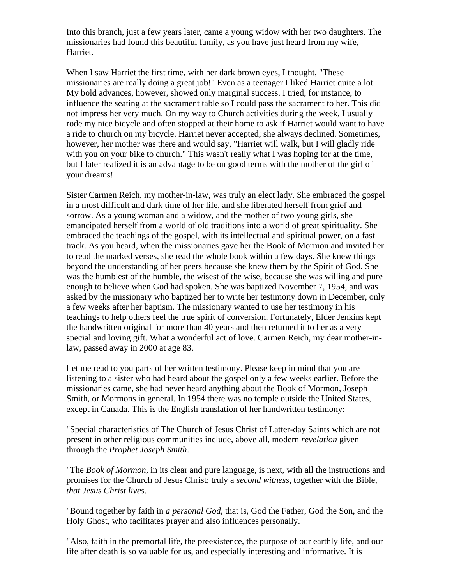Into this branch, just a few years later, came a young widow with her two daughters. The missionaries had found this beautiful family, as you have just heard from my wife, Harriet.

When I saw Harriet the first time, with her dark brown eyes, I thought, "These missionaries are really doing a great job!" Even as a teenager I liked Harriet quite a lot. My bold advances, however, showed only marginal success. I tried, for instance, to influence the seating at the sacrament table so I could pass the sacrament to her. This did not impress her very much. On my way to Church activities during the week, I usually rode my nice bicycle and often stopped at their home to ask if Harriet would want to have a ride to church on my bicycle. Harriet never accepted; she always declined. Sometimes, however, her mother was there and would say, "Harriet will walk, but I will gladly ride with you on your bike to church." This wasn't really what I was hoping for at the time, but I later realized it is an advantage to be on good terms with the mother of the girl of your dreams!

Sister Carmen Reich, my mother-in-law, was truly an elect lady. She embraced the gospel in a most difficult and dark time of her life, and she liberated herself from grief and sorrow. As a young woman and a widow, and the mother of two young girls, she emancipated herself from a world of old traditions into a world of great spirituality. She embraced the teachings of the gospel, with its intellectual and spiritual power, on a fast track. As you heard, when the missionaries gave her the Book of Mormon and invited her to read the marked verses, she read the whole book within a few days. She knew things beyond the understanding of her peers because she knew them by the Spirit of God. She was the humblest of the humble, the wisest of the wise, because she was willing and pure enough to believe when God had spoken. She was baptized November 7, 1954, and was asked by the missionary who baptized her to write her testimony down in December, only a few weeks after her baptism. The missionary wanted to use her testimony in his teachings to help others feel the true spirit of conversion. Fortunately, Elder Jenkins kept the handwritten original for more than 40 years and then returned it to her as a very special and loving gift. What a wonderful act of love. Carmen Reich, my dear mother-inlaw, passed away in 2000 at age 83.

Let me read to you parts of her written testimony. Please keep in mind that you are listening to a sister who had heard about the gospel only a few weeks earlier. Before the missionaries came, she had never heard anything about the Book of Mormon, Joseph Smith, or Mormons in general. In 1954 there was no temple outside the United States, except in Canada. This is the English translation of her handwritten testimony:

"Special characteristics of The Church of Jesus Christ of Latter-day Saints which are not present in other religious communities include, above all, modern *revelation* given through the *Prophet Joseph Smith*.

"The *Book of Mormon*, in its clear and pure language, is next, with all the instructions and promises for the Church of Jesus Christ; truly a *second witness*, together with the Bible, *that Jesus Christ lives*.

"Bound together by faith in *a personal God*, that is, God the Father, God the Son, and the Holy Ghost, who facilitates prayer and also influences personally.

"Also, faith in the premortal life, the preexistence, the purpose of our earthly life, and our life after death is so valuable for us, and especially interesting and informative. It is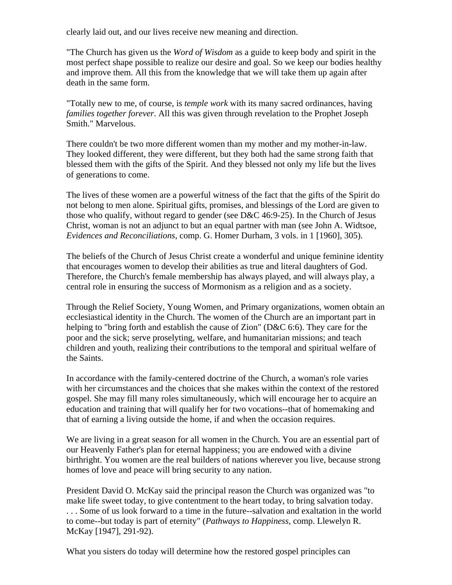clearly laid out, and our lives receive new meaning and direction.

"The Church has given us the *Word of Wisdom* as a guide to keep body and spirit in the most perfect shape possible to realize our desire and goal. So we keep our bodies healthy and improve them. All this from the knowledge that we will take them up again after death in the same form.

"Totally new to me, of course, is *temple work* with its many sacred ordinances, having *families together forever*. All this was given through revelation to the Prophet Joseph Smith." Marvelous.

There couldn't be two more different women than my mother and my mother-in-law. They looked different, they were different, but they both had the same strong faith that blessed them with the gifts of the Spirit. And they blessed not only my life but the lives of generations to come.

The lives of these women are a powerful witness of the fact that the gifts of the Spirit do not belong to men alone. Spiritual gifts, promises, and blessings of the Lord are given to those who qualify, without regard to gender (see D&C 46:9-25). In the Church of Jesus Christ, woman is not an adjunct to but an equal partner with man (see John A. Widtsoe, *Evidences and Reconciliations*, comp. G. Homer Durham, 3 vols. in 1 [1960], 305).

The beliefs of the Church of Jesus Christ create a wonderful and unique feminine identity that encourages women to develop their abilities as true and literal daughters of God. Therefore, the Church's female membership has always played, and will always play, a central role in ensuring the success of Mormonism as a religion and as a society.

Through the Relief Society, Young Women, and Primary organizations, women obtain an ecclesiastical identity in the Church. The women of the Church are an important part in helping to "bring forth and establish the cause of Zion" (D&C 6:6). They care for the poor and the sick; serve proselyting, welfare, and humanitarian missions; and teach children and youth, realizing their contributions to the temporal and spiritual welfare of the Saints.

In accordance with the family-centered doctrine of the Church, a woman's role varies with her circumstances and the choices that she makes within the context of the restored gospel. She may fill many roles simultaneously, which will encourage her to acquire an education and training that will qualify her for two vocations--that of homemaking and that of earning a living outside the home, if and when the occasion requires.

We are living in a great season for all women in the Church. You are an essential part of our Heavenly Father's plan for eternal happiness; you are endowed with a divine birthright. You women are the real builders of nations wherever you live, because strong homes of love and peace will bring security to any nation.

President David O. McKay said the principal reason the Church was organized was "to make life sweet today, to give contentment to the heart today, to bring salvation today. . . . Some of us look forward to a time in the future--salvation and exaltation in the world to come--but today is part of eternity" (*Pathways to Happiness,* comp. Llewelyn R. McKay [1947], 291-92).

What you sisters do today will determine how the restored gospel principles can